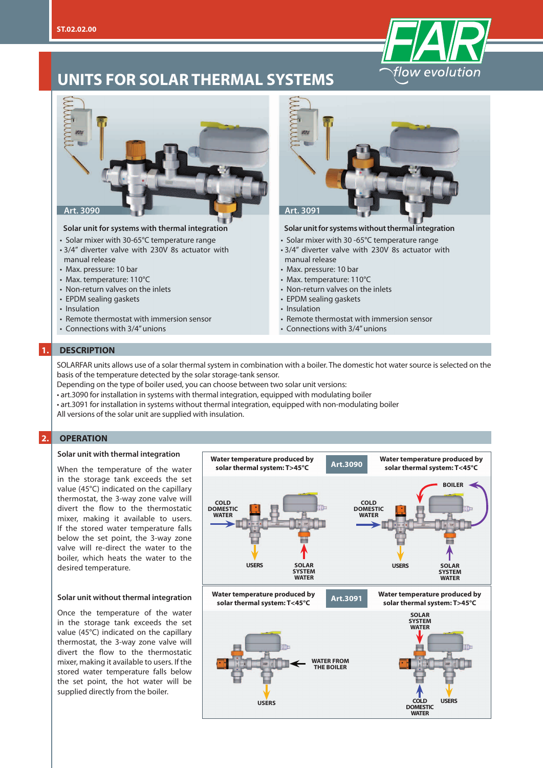

# **UNITS FOR SOLAR THERMAL SYSTEMS**



#### **Solar unit for systems with thermal integration**

- Solar mixer with 30-65°C temperature range
- 3/4" diverter valve with 230V 8s actuator with manual release
- Max. pressure: 10 bar
- Max. temperature: 110°C
- Non-return valves on the inlets
- EPDM sealing gaskets
- Insulation
- 
- Remote thermostat with immersion sensor • Connections with 3/4" unions
- 



#### **Solar unit for systems without thermal integration**

- Solar mixer with 30 -65°C temperature range
- 3/4" diverter valve with 230V 8s actuator with manual release
- Max. pressure: 10 bar
- Max. temperature: 110°C
- Non-return valves on the inlets
- EPDM sealing gaskets
- Insulation
- Remote thermostat with immersion sensor
- Connections with 3/4" unions

#### **1. DESCRIPTION**

SOLARFAR units allows use of a solar thermal system in combination with a boiler. The domestic hot water source is selected on the basis of the temperature detected by the solar storage-tank sensor.

Depending on the type of boiler used, you can choose between two solar unit versions:

- art.3090 for installation in systems with thermal integration, equipped with modulating boiler
- art.3091 for installation in systems without thermal integration, equipped with non-modulating boiler
- All versions of the solar unit are supplied with insulation.

#### **2. OPERATION**

#### **Solar unit with thermal integration**

When the temperature of the water in the storage tank exceeds the set value (45°C) indicated on the capillary thermostat, the 3-way zone valve will divert the flow to the thermostatic mixer, making it available to users. If the stored water temperature falls below the set point, the 3-way zone valve will re-direct the water to the boiler, which heats the water to the desired temperature.

#### **Solar unit without thermal integration**

Once the temperature of the water in the storage tank exceeds the set value (45°C) indicated on the capillary thermostat, the 3-way zone valve will divert the flow to the thermostatic mixer, making it available to users. If the stored water temperature falls below the set point, the hot water will be supplied directly from the boiler.

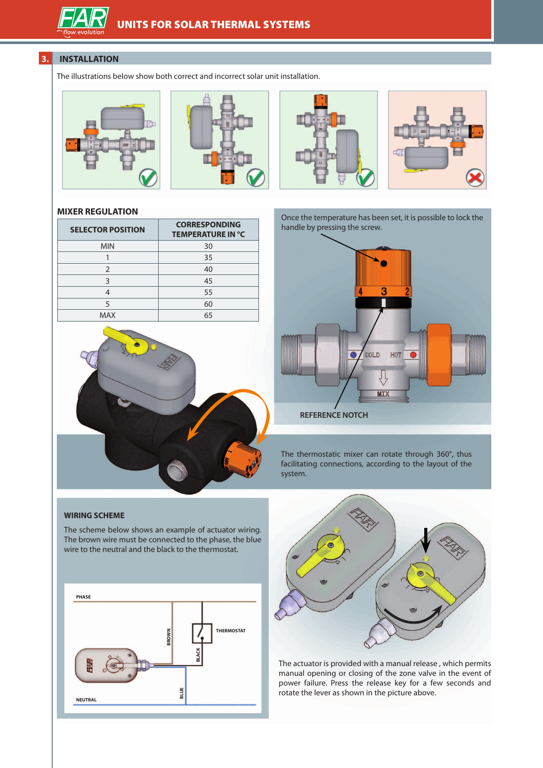# **3. INSTALLATION**

The illustrations below show both correct and incorrect solar unit installation.









## **MIXER REGULATION**

| <b>SELECTOR POSITION</b> | <b>CORRESPONDING</b><br><b>TEMPERATURE IN °C</b> |
|--------------------------|--------------------------------------------------|
| <b>MIN</b>               | 30                                               |
|                          | 35                                               |
| $\mathcal{P}$            | 40                                               |
| 3                        | 45                                               |
|                          | 55                                               |
| 5                        | 60                                               |
| MAX                      | 65                                               |



Once the temperature has been set, it is possible to lock the handle by pressing the screw.



The thermostatic mixer can rotate through 360°, thus facilitating connections, according to the layout of the system.

### **WIRING SCHEME**

The scheme below shows an example of actuator wiring. The brown wire must be connected to the phase, the blue wire to the neutral and the black to the thermostat.





The actuator is provided with a manual release , which permits manual opening or closing of the zone valve in the event of power failure. Press the release key for a few seconds and rotate the lever as shown in the picture above.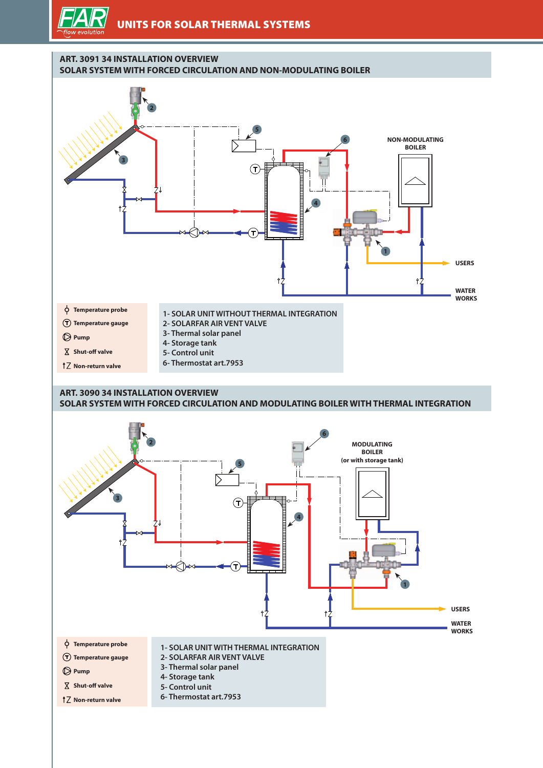